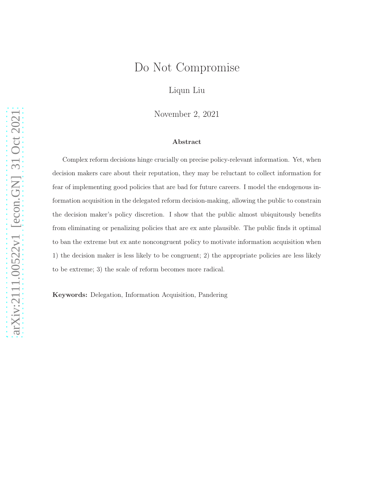# Do Not Compromise

Liqun Liu

November 2, 2021

#### Abstract

Complex reform decisions hinge crucially on precise policy-relevant information. Yet, when decision makers care about their reputation, they may be reluctant to collect information for fear of implementing good policies that are bad for future careers. I model the endogenous information acquisition in the delegated reform decision-making, allowing the public to constrain the decision maker's policy discretion. I show that the public almost ubiquitously benefits from eliminating or penalizing policies that are ex ante plausible. The public finds it optimal to ban the extreme but ex ante noncongruent policy to motivate information acquisition when 1) the decision maker is less likely to be congruent; 2) the appropriate policies are less likely to be extreme; 3) the scale of reform becomes more radical.

Keywords: Delegation, Information Acquisition, Pandering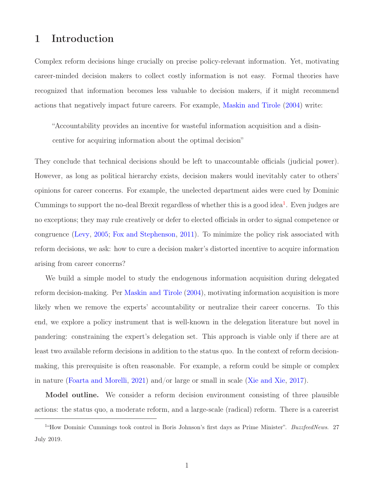## 1 Introduction

Complex reform decisions hinge crucially on precise policy-relevant information. Yet, motivating career-minded decision makers to collect costly information is not easy. Formal theories have recognized that information becomes less valuable to decision makers, if it might recommend actions that negatively impact future careers. For example, [Maskin and Tirole](#page-19-0) [\(2004](#page-19-0)) write:

"Accountability provides an incentive for wasteful information acquisition and a disincentive for acquiring information about the optimal decision"

They conclude that technical decisions should be left to unaccountable officials (judicial power). However, as long as political hierarchy exists, decision makers would inevitably cater to others' opinions for career concerns. For example, the unelected department aides were cued by Dominic Cummings to support the no-deal Brexit regardless of whether this is a good idea<sup>1</sup>. Even judges are no exceptions; they may rule creatively or defer to elected officials in order to signal competence or congruence [\(Levy,](#page-19-1) [2005](#page-19-1); [Fox and Stephenson](#page-19-2), [2011](#page-19-2)). To minimize the policy risk associated with reform decisions, we ask: how to cure a decision maker's distorted incentive to acquire information arising from career concerns?

We build a simple model to study the endogenous information acquisition during delegated reform decision-making. Per [Maskin and Tirole](#page-19-0) [\(2004](#page-19-0)), motivating information acquisition is more likely when we remove the experts' accountability or neutralize their career concerns. To this end, we explore a policy instrument that is well-known in the delegation literature but novel in pandering: constraining the expert's delegation set. This approach is viable only if there are at least two available reform decisions in addition to the status quo. In the context of reform decisionmaking, this prerequisite is often reasonable. For example, a reform could be simple or complex in nature [\(Foarta and Morelli,](#page-19-3) [2021\)](#page-19-3) and/or large or small in scale [\(Xie and Xie,](#page-20-0) [2017\)](#page-20-0).

Model outline. We consider a reform decision environment consisting of three plausible actions: the status quo, a moderate reform, and a large-scale (radical) reform. There is a careerist

<sup>&</sup>lt;sup>1</sup>"How Dominic Cummings took control in Boris Johnson's first days as Prime Minister". BuzzfeedNews. 27 July 2019.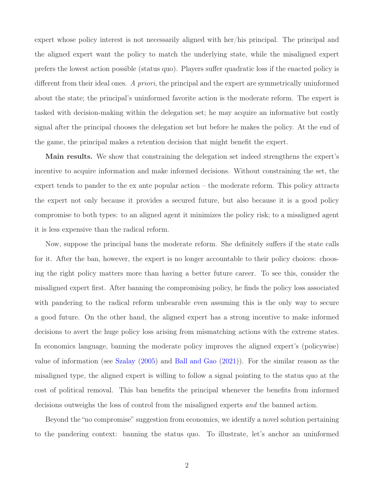expert whose policy interest is not necessarily aligned with her/his principal. The principal and the aligned expert want the policy to match the underlying state, while the misaligned expert prefers the lowest action possible (status quo). Players suffer quadratic loss if the enacted policy is different from their ideal ones. A priori, the principal and the expert are symmetrically uninformed about the state; the principal's uninformed favorite action is the moderate reform. The expert is tasked with decision-making within the delegation set; he may acquire an informative but costly signal after the principal chooses the delegation set but before he makes the policy. At the end of the game, the principal makes a retention decision that might benefit the expert.

Main results. We show that constraining the delegation set indeed strengthens the expert's incentive to acquire information and make informed decisions. Without constraining the set, the expert tends to pander to the ex ante popular action – the moderate reform. This policy attracts the expert not only because it provides a secured future, but also because it is a good policy compromise to both types: to an aligned agent it minimizes the policy risk; to a misaligned agent it is less expensive than the radical reform.

Now, suppose the principal bans the moderate reform. She definitely suffers if the state calls for it. After the ban, however, the expert is no longer accountable to their policy choices: choosing the right policy matters more than having a better future career. To see this, consider the misaligned expert first. After banning the compromising policy, he finds the policy loss associated with pandering to the radical reform unbearable even assuming this is the only way to secure a good future. On the other hand, the aligned expert has a strong incentive to make informed decisions to avert the huge policy loss arising from mismatching actions with the extreme states. In economics language, banning the moderate policy improves the aligned expert's (policywise) value of information (see [Szalay](#page-19-4) [\(2005](#page-19-4)) and [Ball and Gao](#page-18-0) [\(2021\)](#page-18-0)). For the similar reason as the misaligned type, the aligned expert is willing to follow a signal pointing to the status quo at the cost of political removal. This ban benefits the principal whenever the benefits from informed decisions outweighs the loss of control from the misaligned experts and the banned action.

Beyond the "no compromise" suggestion from economics, we identify a novel solution pertaining to the pandering context: banning the status quo. To illustrate, let's anchor an uninformed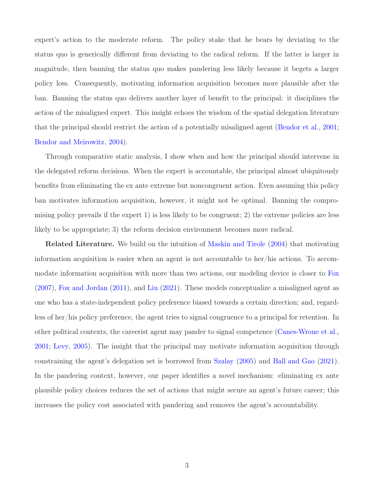expert's action to the moderate reform. The policy stake that he bears by deviating to the status quo is generically different from deviating to the radical reform. If the latter is larger in magnitude, then banning the status quo makes pandering less likely because it begets a larger policy loss. Consequently, motivating information acquisition becomes more plausible after the ban. Banning the status quo delivers another layer of benefit to the principal: it disciplines the action of the misaligned expert. This insight echoes the wisdom of the spatial delegation literature that the principal should restrict the action of a potentially misaligned agent [\(Bendor et al.,](#page-19-5) [2001](#page-19-5); [Bendor and Meirowitz](#page-19-6), [2004\)](#page-19-6).

Through comparative static analysis, I show when and how the principal should intervene in the delegated reform decisions. When the expert is accountable, the principal almost ubiquitously benefits from eliminating the ex ante extreme but noncongruent action. Even assuming this policy ban motivates information acquisition, however, it might not be optimal. Banning the compromising policy prevails if the expert 1) is less likely to be congruent; 2) the extreme policies are less likely to be appropriate; 3) the reform decision environment becomes more radical.

Related Literature. We build on the intuition of [Maskin and Tirole](#page-19-0) [\(2004\)](#page-19-0) that motivating information acquisition is easier when an agent is not accountable to her/his actions. To accommodate information acquisition with more than two actions, our modeling device is closer to [Fox](#page-19-7) [\(2007\)](#page-19-7), [Fox and Jordan](#page-19-8) [\(2011\)](#page-19-8), and [Liu](#page-19-9) [\(2021\)](#page-19-9). These models conceptualize a misaligned agent as one who has a state-independent policy preference biased towards a certain direction; and, regardless of her/his policy preference, the agent tries to signal congruence to a principal for retention. In other political contexts, the careerist agent may pander to signal competence [\(Canes-Wrone et al.](#page-19-10), [2001](#page-19-10); [Levy](#page-19-1), [2005\)](#page-19-1). The insight that the principal may motivate information acquisition through constraining the agent's delegation set is borrowed from [Szalay](#page-19-4) [\(2005](#page-19-4)) and [Ball and Gao](#page-18-0) [\(2021\)](#page-18-0). In the pandering context, however, our paper identifies a novel mechanism: eliminating ex ante plausible policy choices reduces the set of actions that might secure an agent's future career; this increases the policy cost associated with pandering and removes the agent's accountability.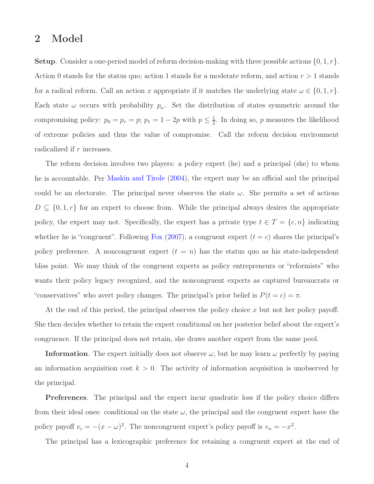## 2 Model

**Setup.** Consider a one-period model of reform decision-making with three possible actions  $\{0, 1, r\}$ . Action 0 stands for the status quo; action 1 stands for a moderate reform, and action  $r > 1$  stands for a radical reform. Call an action x appropriate if it matches the underlying state  $\omega \in \{0, 1, r\}.$ Each state  $\omega$  occurs with probability  $p_{\omega}$ . Set the distribution of states symmetric around the compromising policy:  $p_0 = p_r = p$ ;  $p_1 = 1 - 2p$  with  $p \leq \frac{1}{2}$  $\frac{1}{2}$ . In doing so, p measures the likelihood of extreme policies and thus the value of compromise. Call the reform decision environment radicalized if r increases.

The reform decision involves two players: a policy expert (he) and a principal (she) to whom he is accountable. Per [Maskin and Tirole](#page-19-0) [\(2004](#page-19-0)), the expert may be an official and the principal could be an electorate. The principal never observes the state  $\omega$ . She permits a set of actions  $D \subseteq \{0,1,r\}$  for an expert to choose from. While the principal always desires the appropriate policy, the expert may not. Specifically, the expert has a private type  $t \in T = \{c, n\}$  indicating whether he is "congruent". Following [Fox](#page-19-7) [\(2007\)](#page-19-7), a congruent expert  $(t = c)$  shares the principal's policy preference. A noncongruent expert  $(t = n)$  has the status quo as his state-independent bliss point. We may think of the congruent experts as policy entrepreneurs or "reformists" who wants their policy legacy recognized, and the noncongruent experts as captured bureaucrats or "conservatives" who avert policy changes. The principal's prior belief is  $P(t = c) = \pi$ .

At the end of this period, the principal observes the policy choice x but not her policy payoff. She then decides whether to retain the expert conditional on her posterior belief about the expert's congruence. If the principal does not retain, she draws another expert from the same pool.

**Information**. The expert initially does not observe  $\omega$ , but he may learn  $\omega$  perfectly by paying an information acquisition cost  $k > 0$ . The activity of information acquisition is unobserved by the principal.

Preferences. The principal and the expert incur quadratic loss if the policy choice differs from their ideal ones: conditional on the state  $\omega$ , the principal and the congruent expert have the policy payoff  $v_c = -(x - \omega)^2$ . The noncongruent expert's policy payoff is  $v_n = -x^2$ .

The principal has a lexicographic preference for retaining a congruent expert at the end of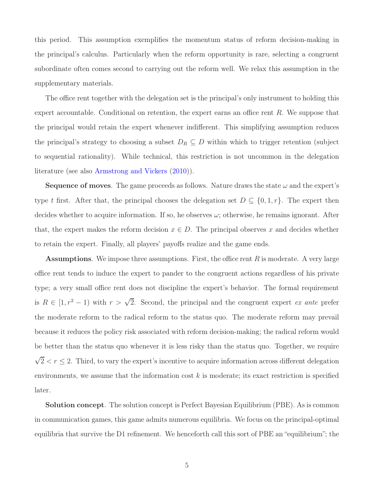this period. This assumption exemplifies the momentum status of reform decision-making in the principal's calculus. Particularly when the reform opportunity is rare, selecting a congruent subordinate often comes second to carrying out the reform well. We relax this assumption in the supplementary materials.

The office rent together with the delegation set is the principal's only instrument to holding this expert accountable. Conditional on retention, the expert earns an office rent  $R$ . We suppose that the principal would retain the expert whenever indifferent. This simplifying assumption reduces the principal's strategy to choosing a subset  $D_R \subseteq D$  within which to trigger retention (subject to sequential rationality). While technical, this restriction is not uncommon in the delegation literature (see also [Armstrong and Vickers](#page-18-1) [\(2010\)](#page-18-1)).

**Sequence of moves**. The game proceeds as follows. Nature draws the state  $\omega$  and the expert's type t first. After that, the principal chooses the delegation set  $D \subseteq \{0, 1, r\}$ . The expert then decides whether to acquire information. If so, he observes  $\omega$ ; otherwise, he remains ignorant. After that, the expert makes the reform decision  $x \in D$ . The principal observes x and decides whether to retain the expert. Finally, all players' payoffs realize and the game ends.

**Assumptions.** We impose three assumptions. First, the office rent  $R$  is moderate. A very large office rent tends to induce the expert to pander to the congruent actions regardless of his private type; a very small office rent does not discipline the expert's behavior. The formal requirement is  $R \in [1, r^2 - 1)$  with  $r > \sqrt{2}$ . Second, the principal and the congruent expert ex ante prefer the moderate reform to the radical reform to the status quo. The moderate reform may prevail because it reduces the policy risk associated with reform decision-making; the radical reform would be better than the status quo whenever it is less risky than the status quo. Together, we require  $\sqrt{2} < r \leq 2$ . Third, to vary the expert's incentive to acquire information across different delegation environments, we assume that the information cost  $k$  is moderate; its exact restriction is specified later.

Solution concept. The solution concept is Perfect Bayesian Equilibrium (PBE). As is common in communication games, this game admits numerous equilibria. We focus on the principal-optimal equilibria that survive the D1 refinement. We henceforth call this sort of PBE an "equilibrium"; the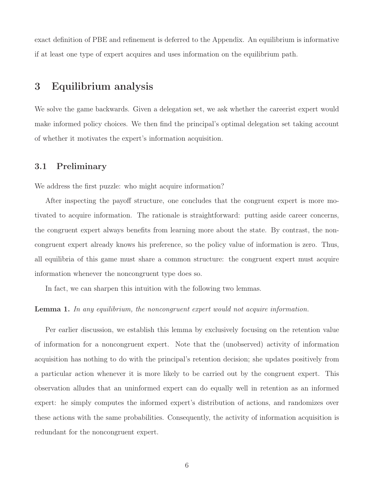exact definition of PBE and refinement is deferred to the Appendix. An equilibrium is informative if at least one type of expert acquires and uses information on the equilibrium path.

## 3 Equilibrium analysis

We solve the game backwards. Given a delegation set, we ask whether the careerist expert would make informed policy choices. We then find the principal's optimal delegation set taking account of whether it motivates the expert's information acquisition.

## 3.1 Preliminary

We address the first puzzle: who might acquire information?

After inspecting the payoff structure, one concludes that the congruent expert is more motivated to acquire information. The rationale is straightforward: putting aside career concerns, the congruent expert always benefits from learning more about the state. By contrast, the noncongruent expert already knows his preference, so the policy value of information is zero. Thus, all equilibria of this game must share a common structure: the congruent expert must acquire information whenever the noncongruent type does so.

In fact, we can sharpen this intuition with the following two lemmas.

#### <span id="page-6-0"></span>**Lemma 1.** In any equilibrium, the noncongruent expert would not acquire information.

Per earlier discussion, we establish this lemma by exclusively focusing on the retention value of information for a noncongruent expert. Note that the (unobserved) activity of information acquisition has nothing to do with the principal's retention decision; she updates positively from a particular action whenever it is more likely to be carried out by the congruent expert. This observation alludes that an uninformed expert can do equally well in retention as an informed expert: he simply computes the informed expert's distribution of actions, and randomizes over these actions with the same probabilities. Consequently, the activity of information acquisition is redundant for the noncongruent expert.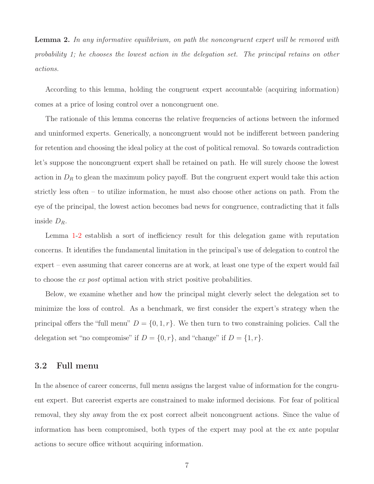<span id="page-7-0"></span>**Lemma 2.** In any informative equilibrium, on path the noncongruent expert will be removed with probability 1; he chooses the lowest action in the delegation set. The principal retains on other actions.

According to this lemma, holding the congruent expert accountable (acquiring information) comes at a price of losing control over a noncongruent one.

The rationale of this lemma concerns the relative frequencies of actions between the informed and uninformed experts. Generically, a noncongruent would not be indifferent between pandering for retention and choosing the ideal policy at the cost of political removal. So towards contradiction let's suppose the noncongruent expert shall be retained on path. He will surely choose the lowest action in  $D_R$  to glean the maximum policy payoff. But the congruent expert would take this action strictly less often – to utilize information, he must also choose other actions on path. From the eye of the principal, the lowest action becomes bad news for congruence, contradicting that it falls inside  $D_R$ .

Lemma [1-](#page-6-0)[2](#page-7-0) establish a sort of inefficiency result for this delegation game with reputation concerns. It identifies the fundamental limitation in the principal's use of delegation to control the expert – even assuming that career concerns are at work, at least one type of the expert would fail to choose the ex post optimal action with strict positive probabilities.

Below, we examine whether and how the principal might cleverly select the delegation set to minimize the loss of control. As a benchmark, we first consider the expert's strategy when the principal offers the "full menu"  $D = \{0, 1, r\}$ . We then turn to two constraining policies. Call the delegation set "no compromise" if  $D = \{0, r\}$ , and "change" if  $D = \{1, r\}$ .

### 3.2 Full menu

In the absence of career concerns, full menu assigns the largest value of information for the congruent expert. But careerist experts are constrained to make informed decisions. For fear of political removal, they shy away from the ex post correct albeit noncongruent actions. Since the value of information has been compromised, both types of the expert may pool at the ex ante popular actions to secure office without acquiring information.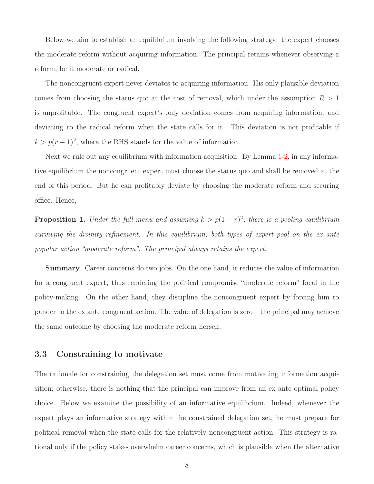Below we aim to establish an equilibrium involving the following strategy: the expert chooses the moderate reform without acquiring information. The principal retains whenever observing a reform, be it moderate or radical.

The noncongruent expert never deviates to acquiring information. His only plausible deviation comes from choosing the status quo at the cost of removal, which under the assumption  $R > 1$ is unprofitable. The congruent expert's only deviation comes from acquiring information, and deviating to the radical reform when the state calls for it. This deviation is not profitable if  $k > p(r-1)^2$ , where the RHS stands for the value of information.

Next we rule out any equilibrium with information acquisition. By Lemma [1](#page-6-0)[-2,](#page-7-0) in any informative equilibrium the noncongruent expert must choose the status quo and shall be removed at the end of this period. But he can profitably deviate by choosing the moderate reform and securing office. Hence,

<span id="page-8-0"></span>**Proposition 1.** Under the full menu and assuming  $k > p(1 - r)^2$ , there is a pooling equilibrium surviving the divinity refinement. In this equilibrium, both types of expert pool on the ex ante popular action "moderate reform". The principal always retains the expert.

Summary. Career concerns do two jobs. On the one hand, it reduces the value of information for a congruent expert, thus rendering the political compromise "moderate reform" focal in the policy-making. On the other hand, they discipline the noncongruent expert by forcing him to pander to the ex ante congruent action. The value of delegation is zero – the principal may achieve the same outcome by choosing the moderate reform herself.

## 3.3 Constraining to motivate

The rationale for constraining the delegation set must come from motivating information acquisition; otherwise, there is nothing that the principal can improve from an ex ante optimal policy choice. Below we examine the possibility of an informative equilibrium. Indeed, whenever the expert plays an informative strategy within the constrained delegation set, he must prepare for political removal when the state calls for the relatively noncongruent action. This strategy is rational only if the policy stakes overwhelm career concerns, which is plausible when the alternative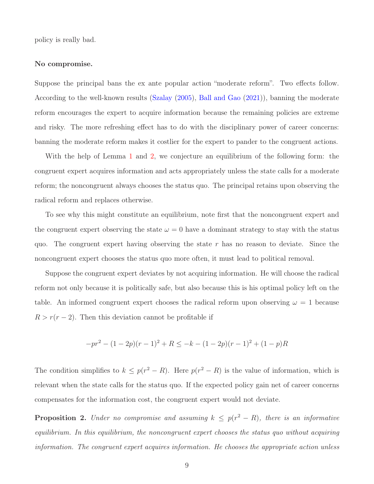policy is really bad.

#### No compromise.

Suppose the principal bans the ex ante popular action "moderate reform". Two effects follow. According to the well-known results [\(Szalay](#page-19-4) [\(2005\)](#page-19-4), [Ball and Gao](#page-18-0) [\(2021\)](#page-18-0)), banning the moderate reform encourages the expert to acquire information because the remaining policies are extreme and risky. The more refreshing effect has to do with the disciplinary power of career concerns: banning the moderate reform makes it costlier for the expert to pander to the congruent actions.

With the help of Lemma [1](#page-6-0) and [2,](#page-7-0) we conjecture an equilibrium of the following form: the congruent expert acquires information and acts appropriately unless the state calls for a moderate reform; the noncongruent always chooses the status quo. The principal retains upon observing the radical reform and replaces otherwise.

To see why this might constitute an equilibrium, note first that the noncongruent expert and the congruent expert observing the state  $\omega = 0$  have a dominant strategy to stay with the status quo. The congruent expert having observing the state  $r$  has no reason to deviate. Since the noncongruent expert chooses the status quo more often, it must lead to political removal.

Suppose the congruent expert deviates by not acquiring information. He will choose the radical reform not only because it is politically safe, but also because this is his optimal policy left on the table. An informed congruent expert chooses the radical reform upon observing  $\omega = 1$  because  $R > r(r-2)$ . Then this deviation cannot be profitable if

$$
-pr^{2} - (1 - 2p)(r - 1)^{2} + R \leq -k - (1 - 2p)(r - 1)^{2} + (1 - p)R
$$

The condition simplifies to  $k \leq p(r^2 - R)$ . Here  $p(r^2 - R)$  is the value of information, which is relevant when the state calls for the status quo. If the expected policy gain net of career concerns compensates for the information cost, the congruent expert would not deviate.

<span id="page-9-0"></span>**Proposition 2.** Under no compromise and assuming  $k \leq p(r^2 - R)$ , there is an informative equilibrium. In this equilibrium, the noncongruent expert chooses the status quo without acquiring information. The congruent expert acquires information. He chooses the appropriate action unless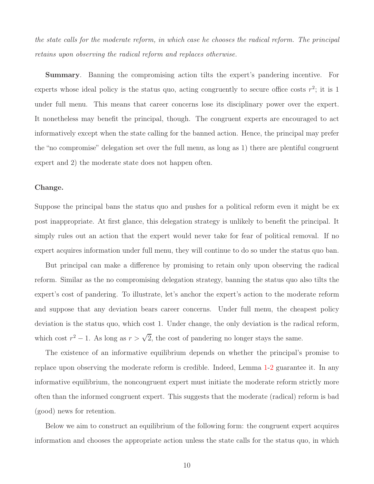the state calls for the moderate reform, in which case he chooses the radical reform. The principal retains upon observing the radical reform and replaces otherwise.

Summary. Banning the compromising action tilts the expert's pandering incentive. For experts whose ideal policy is the status quo, acting congruently to secure office costs  $r^2$ ; it is 1 under full menu. This means that career concerns lose its disciplinary power over the expert. It nonetheless may benefit the principal, though. The congruent experts are encouraged to act informatively except when the state calling for the banned action. Hence, the principal may prefer the "no compromise" delegation set over the full menu, as long as 1) there are plentiful congruent expert and 2) the moderate state does not happen often.

#### Change.

Suppose the principal bans the status quo and pushes for a political reform even it might be ex post inappropriate. At first glance, this delegation strategy is unlikely to benefit the principal. It simply rules out an action that the expert would never take for fear of political removal. If no expert acquires information under full menu, they will continue to do so under the status quo ban.

But principal can make a difference by promising to retain only upon observing the radical reform. Similar as the no compromising delegation strategy, banning the status quo also tilts the expert's cost of pandering. To illustrate, let's anchor the expert's action to the moderate reform and suppose that any deviation bears career concerns. Under full menu, the cheapest policy deviation is the status quo, which cost 1. Under change, the only deviation is the radical reform, which cost  $r^2 - 1$ . As long as  $r > \sqrt{2}$ , the cost of pandering no longer stays the same.

The existence of an informative equilibrium depends on whether the principal's promise to replace upon observing the moderate reform is credible. Indeed, Lemma [1](#page-6-0)[-2](#page-7-0) guarantee it. In any informative equilibrium, the noncongruent expert must initiate the moderate reform strictly more often than the informed congruent expert. This suggests that the moderate (radical) reform is bad (good) news for retention.

Below we aim to construct an equilibrium of the following form: the congruent expert acquires information and chooses the appropriate action unless the state calls for the status quo, in which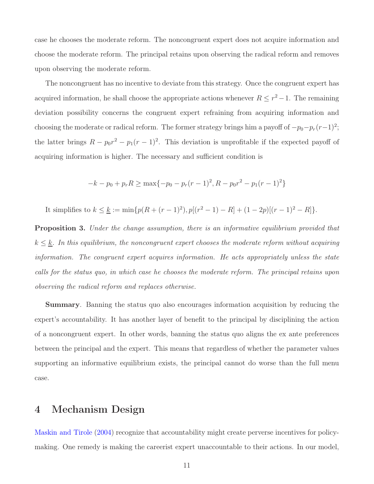case he chooses the moderate reform. The noncongruent expert does not acquire information and choose the moderate reform. The principal retains upon observing the radical reform and removes upon observing the moderate reform.

The noncongruent has no incentive to deviate from this strategy. Once the congruent expert has acquired information, he shall choose the appropriate actions whenever  $R \leq r^2 - 1$ . The remaining deviation possibility concerns the congruent expert refraining from acquiring information and choosing the moderate or radical reform. The former strategy brings him a payoff of  $-p_0-p_r(r-1)^2$ ; the latter brings  $R - p_0 r^2 - p_1 (r - 1)^2$ . This deviation is unprofitable if the expected payoff of acquiring information is higher. The necessary and sufficient condition is

$$
-k - p_0 + p_r R \ge \max\{-p_0 - p_r(r-1)^2, R - p_0r^2 - p_1(r-1)^2\}
$$

It simplifies to  $k \leq \underline{k} := \min\{p(R + (r-1)^2), p[(r^2-1) - R] + (1-2p)[(r-1)^2 - R]\}.$ 

<span id="page-11-0"></span>Proposition 3. Under the change assumption, there is an informative equilibrium provided that  $k \leq \underline{k}$ . In this equilibrium, the noncongruent expert chooses the moderate reform without acquiring information. The congruent expert acquires information. He acts appropriately unless the state calls for the status quo, in which case he chooses the moderate reform. The principal retains upon observing the radical reform and replaces otherwise.

Summary. Banning the status quo also encourages information acquisition by reducing the expert's accountability. It has another layer of benefit to the principal by disciplining the action of a noncongruent expert. In other words, banning the status quo aligns the ex ante preferences between the principal and the expert. This means that regardless of whether the parameter values supporting an informative equilibrium exists, the principal cannot do worse than the full menu case.

## 4 Mechanism Design

[Maskin and Tirole](#page-19-0) [\(2004](#page-19-0)) recognize that accountability might create perverse incentives for policymaking. One remedy is making the careerist expert unaccountable to their actions. In our model,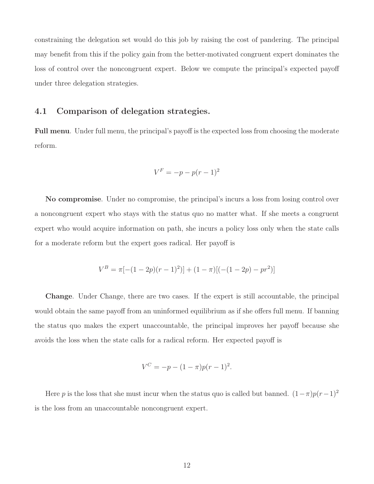constraining the delegation set would do this job by raising the cost of pandering. The principal may benefit from this if the policy gain from the better-motivated congruent expert dominates the loss of control over the noncongruent expert. Below we compute the principal's expected payoff under three delegation strategies.

### 4.1 Comparison of delegation strategies.

Full menu. Under full menu, the principal's payoff is the expected loss from choosing the moderate reform.

$$
V^F = -p - p(r - 1)^2
$$

No compromise. Under no compromise, the principal's incurs a loss from losing control over a noncongruent expert who stays with the status quo no matter what. If she meets a congruent expert who would acquire information on path, she incurs a policy loss only when the state calls for a moderate reform but the expert goes radical. Her payoff is

$$
V^{B} = \pi [-(1-2p)(r-1)^{2})] + (1 - \pi) [(-(1-2p) - pr^{2})]
$$

Change. Under Change, there are two cases. If the expert is still accountable, the principal would obtain the same payoff from an uninformed equilibrium as if she offers full menu. If banning the status quo makes the expert unaccountable, the principal improves her payoff because she avoids the loss when the state calls for a radical reform. Her expected payoff is

$$
V^C = -p - (1 - \pi)p(r - 1)^2.
$$

Here p is the loss that she must incur when the status quo is called but banned.  $(1-\pi)p(r-1)^2$ is the loss from an unaccountable noncongruent expert.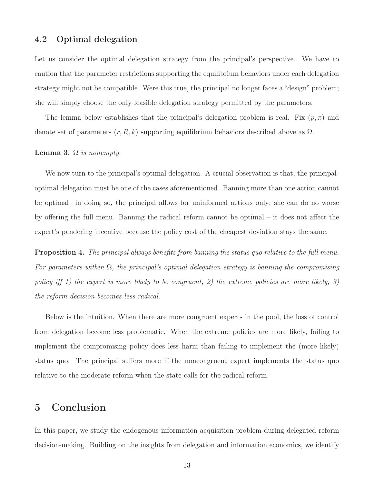## 4.2 Optimal delegation

Let us consider the optimal delegation strategy from the principal's perspective. We have to caution that the parameter restrictions supporting the equilibrium behaviors under each delegation strategy might not be compatible. Were this true, the principal no longer faces a "design" problem; she will simply choose the only feasible delegation strategy permitted by the parameters.

The lemma below establishes that the principal's delegation problem is real. Fix  $(p, \pi)$  and denote set of parameters  $(r, R, k)$  supporting equilibrium behaviors described above as  $\Omega$ .

#### <span id="page-13-0"></span>**Lemma 3.**  $\Omega$  is nonempty.

We now turn to the principal's optimal delegation. A crucial observation is that, the principaloptimal delegation must be one of the cases aforementioned. Banning more than one action cannot be optimal– in doing so, the principal allows for uninformed actions only; she can do no worse by offering the full menu. Banning the radical reform cannot be optimal – it does not affect the expert's pandering incentive because the policy cost of the cheapest deviation stays the same.

<span id="page-13-1"></span>Proposition 4. The principal always benefits from banning the status quo relative to the full menu. For parameters within  $\Omega$ , the principal's optimal delegation strategy is banning the compromising policy iff 1) the expert is more likely to be congruent; 2) the extreme policies are more likely; 3) the reform decision becomes less radical.

Below is the intuition. When there are more congruent experts in the pool, the loss of control from delegation become less problematic. When the extreme policies are more likely, failing to implement the compromising policy does less harm than failing to implement the (more likely) status quo. The principal suffers more if the noncongruent expert implements the status quo relative to the moderate reform when the state calls for the radical reform.

## 5 Conclusion

In this paper, we study the endogenous information acquisition problem during delegated reform decision-making. Building on the insights from delegation and information economics, we identify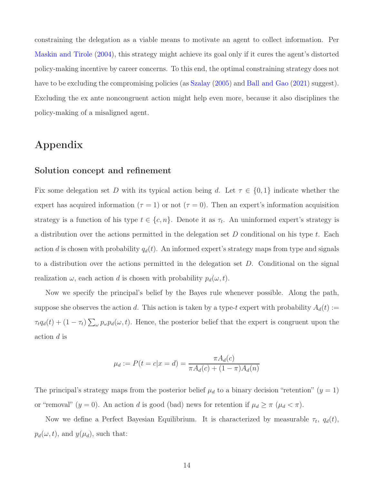constraining the delegation as a viable means to motivate an agent to collect information. Per [Maskin and Tirole](#page-19-0) [\(2004\)](#page-19-0), this strategy might achieve its goal only if it cures the agent's distorted policy-making incentive by career concerns. To this end, the optimal constraining strategy does not have to be excluding the compromising policies (as [Szalay](#page-19-4) [\(2005](#page-19-4)) and [Ball and Gao](#page-18-0) [\(2021](#page-18-0)) suggest). Excluding the ex ante noncongruent action might help even more, because it also disciplines the policy-making of a misaligned agent.

## Appendix

### Solution concept and refinement

Fix some delegation set D with its typical action being d. Let  $\tau \in \{0,1\}$  indicate whether the expert has acquired information ( $\tau = 1$ ) or not ( $\tau = 0$ ). Then an expert's information acquisition strategy is a function of his type  $t \in \{c, n\}$ . Denote it as  $\tau_t$ . An uninformed expert's strategy is a distribution over the actions permitted in the delegation set  $D$  conditional on his type  $t$ . Each action d is chosen with probability  $q_d(t)$ . An informed expert's strategy maps from type and signals to a distribution over the actions permitted in the delegation set  $D$ . Conditional on the signal realization  $\omega$ , each action d is chosen with probability  $p_d(\omega, t)$ .

Now we specify the principal's belief by the Bayes rule whenever possible. Along the path, suppose she observes the action d. This action is taken by a type-t expert with probability  $A_d(t) :=$  $\tau_t q_d(t) + (1 - \tau_t) \sum_{\omega} p_{\omega} p_d(\omega, t)$ . Hence, the posterior belief that the expert is congruent upon the action d is

$$
\mu_d := P(t = c | x = d) = \frac{\pi A_d(c)}{\pi A_d(c) + (1 - \pi)A_d(n)}
$$

The principal's strategy maps from the posterior belief  $\mu_d$  to a binary decision "retention" ( $y = 1$ ) or "removal"  $(y = 0)$ . An action d is good (bad) news for retention if  $\mu_d \ge \pi$  ( $\mu_d < \pi$ ).

Now we define a Perfect Bayesian Equilibrium. It is characterized by measurable  $\tau_t$ ,  $q_d(t)$ ,  $p_d(\omega, t)$ , and  $y(\mu_d)$ , such that: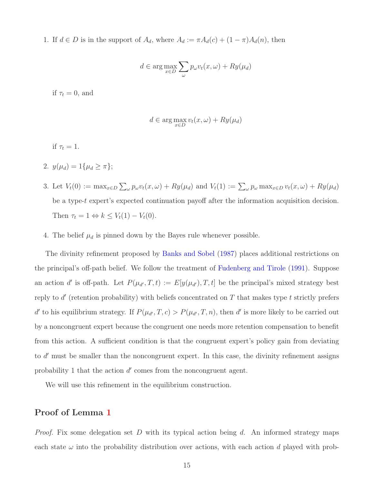1. If  $d \in D$  is in the support of  $A_d$ , where  $A_d := \pi A_d(c) + (1 - \pi)A_d(n)$ , then

$$
d \in \arg\max_{x \in D} \sum_{\omega} p_{\omega} v_t(x, \omega) + R y(\mu_d)
$$

if  $\tau_t = 0$ , and

$$
d \in \arg\max_{x \in D} v_t(x, \omega) + Ry(\mu_d)
$$

if  $\tau_t = 1$ .

- 2.  $y(\mu_d) = 1\{\mu_d \geq \pi\};$
- 3. Let  $V_t(0) := \max_{x \in D} \sum_{\omega} p_{\omega} v_t(x, \omega) + R y(\mu_d)$  and  $V_t(1) := \sum_{\omega} p_{\omega} \max_{x \in D} v_t(x, \omega) + R y(\mu_d)$ be a type-t expert's expected continuation payoff after the information acquisition decision. Then  $\tau_t = 1 \Leftrightarrow k \leq V_t(1) - V_t(0)$ .
- 4. The belief  $\mu_d$  is pinned down by the Bayes rule whenever possible.

The divinity refinement proposed by [Banks and Sobel](#page-18-2) [\(1987\)](#page-18-2) places additional restrictions on the principal's off-path belief. We follow the treatment of [Fudenberg and Tirole](#page-19-11) [\(1991\)](#page-19-11). Suppose an action d' is off-path. Let  $P(\mu_{d'}, T, t) := E[y(\mu_{d'}), T, t]$  be the principal's mixed strategy best reply to  $d'$  (retention probability) with beliefs concentrated on  $T$  that makes type t strictly prefers d' to his equilibrium strategy. If  $P(\mu_{d'}, T, c) > P(\mu_{d'}, T, n)$ , then d' is more likely to be carried out by a noncongruent expert because the congruent one needs more retention compensation to benefit from this action. A sufficient condition is that the congruent expert's policy gain from deviating to d' must be smaller than the noncongruent expert. In this case, the divinity refinement assigns probability 1 that the action  $d'$  comes from the noncongruent agent.

We will use this refinement in the equilibrium construction.

### Proof of Lemma [1](#page-6-0)

*Proof.* Fix some delegation set D with its typical action being d. An informed strategy maps each state  $\omega$  into the probability distribution over actions, with each action d played with prob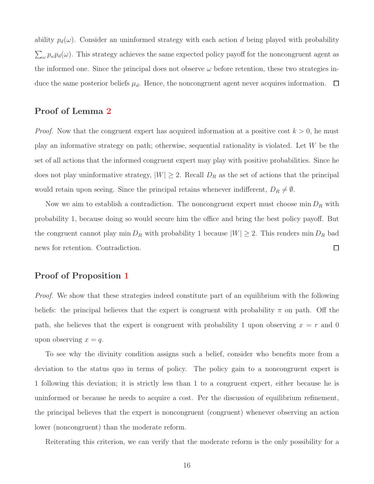ability  $p_d(\omega)$ . Consider an uninformed strategy with each action d being played with probability  $\sum_{\omega} p_{\omega} p_d(\omega)$ . This strategy achieves the same expected policy payoff for the noncongruent agent as the informed one. Since the principal does not observe  $\omega$  before retention, these two strategies induce the same posterior beliefs  $\mu_d$ . Hence, the noncongruent agent never acquires information.  $\Box$ 

## Proof of Lemma [2](#page-7-0)

*Proof.* Now that the congruent expert has acquired information at a positive cost  $k > 0$ , he must play an informative strategy on path; otherwise, sequential rationality is violated. Let W be the set of all actions that the informed congruent expert may play with positive probabilities. Since he does not play uninformative strategy,  $|W| \geq 2$ . Recall  $D_R$  as the set of actions that the principal would retain upon seeing. Since the principal retains whenever indifferent,  $D_R \neq \emptyset$ .

Now we aim to establish a contradiction. The noncongruent expert must choose  $\min D_R$  with probability 1, because doing so would secure him the office and bring the best policy payoff. But the congruent cannot play min  $D_R$  with probability 1 because  $|W| \geq 2$ . This renders min  $D_R$  bad news for retention. Contradiction.  $\Box$ 

## Proof of Proposition [1](#page-8-0)

Proof. We show that these strategies indeed constitute part of an equilibrium with the following beliefs: the principal believes that the expert is congruent with probability  $\pi$  on path. Off the path, she believes that the expert is congruent with probability 1 upon observing  $x = r$  and 0 upon observing  $x = q$ .

To see why the divinity condition assigns such a belief, consider who benefits more from a deviation to the status quo in terms of policy. The policy gain to a noncongruent expert is 1 following this deviation; it is strictly less than 1 to a congruent expert, either because he is uninformed or because he needs to acquire a cost. Per the discussion of equilibrium refinement, the principal believes that the expert is noncongruent (congruent) whenever observing an action lower (noncongruent) than the moderate reform.

Reiterating this criterion, we can verify that the moderate reform is the only possibility for a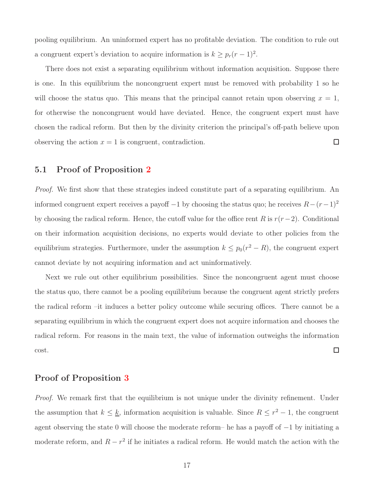pooling equilibrium. An uninformed expert has no profitable deviation. The condition to rule out a congruent expert's deviation to acquire information is  $k \geq p_r(r-1)^2$ .

There does not exist a separating equilibrium without information acquisition. Suppose there is one. In this equilibrium the noncongruent expert must be removed with probability 1 so he will choose the status quo. This means that the principal cannot retain upon observing  $x = 1$ , for otherwise the noncongruent would have deviated. Hence, the congruent expert must have chosen the radical reform. But then by the divinity criterion the principal's off-path believe upon  $\Box$ observing the action  $x = 1$  is congruent, contradiction.

### 5.1 Proof of Proposition [2](#page-9-0)

*Proof.* We first show that these strategies indeed constitute part of a separating equilibrium. An informed congruent expert receives a payoff  $-1$  by choosing the status quo; he receives  $R-(r-1)^2$ by choosing the radical reform. Hence, the cutoff value for the office rent R is  $r(r-2)$ . Conditional on their information acquisition decisions, no experts would deviate to other policies from the equilibrium strategies. Furthermore, under the assumption  $k \leq p_0(r^2 - R)$ , the congruent expert cannot deviate by not acquiring information and act uninformatively.

Next we rule out other equilibrium possibilities. Since the noncongruent agent must choose the status quo, there cannot be a pooling equilibrium because the congruent agent strictly prefers the radical reform –it induces a better policy outcome while securing offices. There cannot be a separating equilibrium in which the congruent expert does not acquire information and chooses the radical reform. For reasons in the main text, the value of information outweighs the information  $\Box$ cost.

## Proof of Proposition [3](#page-11-0)

*Proof.* We remark first that the equilibrium is not unique under the divinity refinement. Under the assumption that  $k \leq \underline{k}$ , information acquisition is valuable. Since  $R \leq r^2 - 1$ , the congruent agent observing the state 0 will choose the moderate reform– he has a payoff of −1 by initiating a moderate reform, and  $R - r^2$  if he initiates a radical reform. He would match the action with the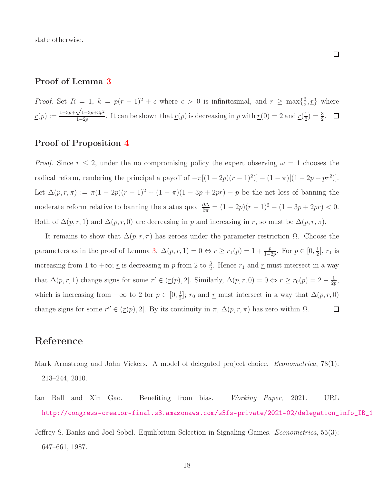state otherwise.

## Proof of Lemma [3](#page-13-0)

*Proof.* Set  $R = 1$ ,  $k = p(r - 1)^2 + \epsilon$  where  $\epsilon > 0$  is infinitesimal, and  $r \ge \max\{\frac{3}{2}\}$  $\frac{3}{2}, \underline{r}$  where  $r(p) := \frac{1-3p+\sqrt{1-3p+3p^2}}{1-2p}$  $\frac{\sqrt{1-3p+3p^2}}{1-2p}$ . It can be shown that  $\underline{r}(p)$  is decreasing in p with  $\underline{r}(0) = 2$  and  $\underline{r}(\frac{1}{2})$  $(\frac{1}{2}) = \frac{3}{2}.$  $\Box$ 

### Proof of Proposition [4](#page-13-1)

*Proof.* Since  $r \leq 2$ , under the no compromising policy the expert observing  $\omega = 1$  chooses the radical reform, rendering the principal a payoff of  $-\pi[(1-2p)(r-1)^2)] - (1-\pi)[(1-2p+pr^2)]$ . Let  $\Delta(p, r, \pi) := \pi(1 - 2p)(r - 1)^2 + (1 - \pi)(1 - 3p + 2pr) - p$  be the net loss of banning the moderate reform relative to banning the status quo.  $\frac{\partial \Delta}{\partial \pi} = (1 - 2p)(r - 1)^2 - (1 - 3p + 2pr) < 0$ . Both of  $\Delta(p, r, 1)$  and  $\Delta(p, r, 0)$  are decreasing in p and increasing in r, so must be  $\Delta(p, r, \pi)$ .

It remains to show that  $\Delta(p, r, \pi)$  has zeroes under the parameter restriction  $\Omega$ . Choose the parameters as in the proof of Lemma [3.](#page-13-0)  $\Delta(p, r, 1) = 0 \Leftrightarrow r \ge r_1(p) = 1 + \frac{p}{1-2p}$ . For  $p \in [0, \frac{1}{2}]$  $\frac{1}{2}$ ,  $r_1$  is increasing from 1 to  $+\infty$ ; <u>r</u> is decreasing in p from 2 to  $\frac{3}{2}$ . Hence  $r_1$  and <u>r</u> must intersect in a way that  $\Delta(p, r, 1)$  change signs for some  $r' \in (\underline{r}(p), 2]$ . Similarly,  $\Delta(p, r, 0) = 0 \Leftrightarrow r \ge r_0(p) = 2 - \frac{1}{2p}$  $\frac{1}{2p},$ which is increasing from  $-\infty$  to 2 for  $p \in [0, \frac{1}{2}]$  $\frac{1}{2}$ ;  $r_0$  and <u>r</u> must intersect in a way that  $\Delta(p, r, 0)$ change signs for some  $r'' \in (\underline{r}(p), 2]$ . By its continuity in  $\pi$ ,  $\Delta(p, r, \pi)$  has zero within  $\Omega$ .  $\Box$ 

## Reference

- <span id="page-18-1"></span>Mark Armstrong and John Vickers. A model of delegated project choice. *Econometrica*, 78(1): 213–244, 2010.
- <span id="page-18-0"></span>Ian Ball and Xin Gao. Benefiting from bias. Working Paper, 2021. URL http://congress-creator-final.s3.amazonaws.com/s3fs-private/2021-02/delegation\_info\_IB\_1
- <span id="page-18-2"></span>Jeffrey S. Banks and Joel Sobel. Equilibrium Selection in Signaling Games. Econometrica, 55(3): 647–661, 1987.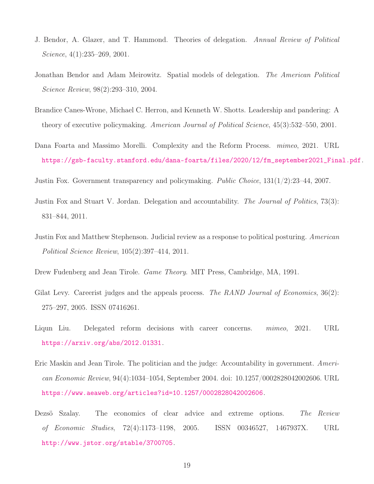- <span id="page-19-5"></span>J. Bendor, A. Glazer, and T. Hammond. Theories of delegation. Annual Review of Political Science, 4(1):235–269, 2001.
- <span id="page-19-6"></span>Jonathan Bendor and Adam Meirowitz. Spatial models of delegation. The American Political Science Review, 98(2):293–310, 2004.
- <span id="page-19-10"></span>Brandice Canes-Wrone, Michael C. Herron, and Kenneth W. Shotts. Leadership and pandering: A theory of executive policymaking. American Journal of Political Science, 45(3):532–550, 2001.
- <span id="page-19-3"></span>Dana Foarta and Massimo Morelli. Complexity and the Reform Process. mimeo, 2021. URL [https://gsb-faculty.stanford.edu/dana-foarta/files/2020/12/fm\\_september2021\\_Final.pdf](https://gsb-faculty.stanford.edu/dana-foarta/files/2020/12/fm_september2021_Final.pdf).
- <span id="page-19-7"></span>Justin Fox. Government transparency and policymaking. Public Choice, 131(1/2):23–44, 2007.
- <span id="page-19-8"></span>Justin Fox and Stuart V. Jordan. Delegation and accountability. The Journal of Politics, 73(3): 831–844, 2011.
- <span id="page-19-2"></span>Justin Fox and Matthew Stephenson. Judicial review as a response to political posturing. American Political Science Review, 105(2):397–414, 2011.
- <span id="page-19-11"></span>Drew Fudenberg and Jean Tirole. *Game Theory*. MIT Press, Cambridge, MA, 1991.
- <span id="page-19-1"></span>Gilat Levy. Careerist judges and the appeals process. The RAND Journal of Economics, 36(2): 275–297, 2005. ISSN 07416261.
- <span id="page-19-9"></span>Liqun Liu. Delegated reform decisions with career concerns. *mimeo*, 2021. URL <https://arxiv.org/abs/2012.01331>.
- <span id="page-19-0"></span>Eric Maskin and Jean Tirole. The politician and the judge: Accountability in government. American Economic Review, 94(4):1034–1054, September 2004. doi: 10.1257/0002828042002606. URL <https://www.aeaweb.org/articles?id=10.1257/0002828042002606>.
- <span id="page-19-4"></span>Dezsö Szalay. The economics of clear advice and extreme options. The Review of Economic Studies, 72(4):1173–1198, 2005. ISSN 00346527, 1467937X. URL <http://www.jstor.org/stable/3700705>.